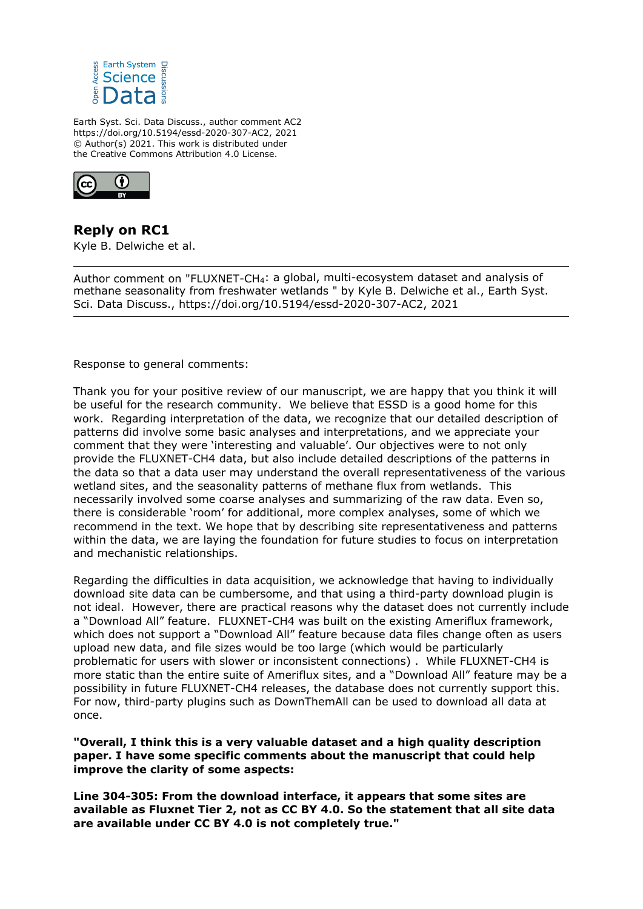

Earth Syst. Sci. Data Discuss., author comment AC2 https://doi.org/10.5194/essd-2020-307-AC2, 2021 © Author(s) 2021. This work is distributed under the Creative Commons Attribution 4.0 License.



**Reply on RC1** Kyle B. Delwiche et al.

Author comment on "FLUXNET-CH4: a global, multi-ecosystem dataset and analysis of methane seasonality from freshwater wetlands " by Kyle B. Delwiche et al., Earth Syst. Sci. Data Discuss., https://doi.org/10.5194/essd-2020-307-AC2, 2021

Response to general comments:

Thank you for your positive review of our manuscript, we are happy that you think it will be useful for the research community. We believe that ESSD is a good home for this work. Regarding interpretation of the data, we recognize that our detailed description of patterns did involve some basic analyses and interpretations, and we appreciate your comment that they were 'interesting and valuable'. Our objectives were to not only provide the FLUXNET-CH4 data, but also include detailed descriptions of the patterns in the data so that a data user may understand the overall representativeness of the various wetland sites, and the seasonality patterns of methane flux from wetlands. This necessarily involved some coarse analyses and summarizing of the raw data. Even so, there is considerable 'room' for additional, more complex analyses, some of which we recommend in the text. We hope that by describing site representativeness and patterns within the data, we are laying the foundation for future studies to focus on interpretation and mechanistic relationships.

Regarding the difficulties in data acquisition, we acknowledge that having to individually download site data can be cumbersome, and that using a third-party download plugin is not ideal. However, there are practical reasons why the dataset does not currently include a "Download All" feature. FLUXNET-CH4 was built on the existing Ameriflux framework, which does not support a "Download All" feature because data files change often as users upload new data, and file sizes would be too large (which would be particularly problematic for users with slower or inconsistent connections) . While FLUXNET-CH4 is more static than the entire suite of Ameriflux sites, and a "Download All" feature may be a possibility in future FLUXNET-CH4 releases, the database does not currently support this. For now, third-party plugins such as DownThemAll can be used to download all data at once.

**"Overall, I think this is a very valuable dataset and a high quality description paper. I have some specific comments about the manuscript that could help improve the clarity of some aspects:**

**Line 304-305: From the download interface, it appears that some sites are available as Fluxnet Tier 2, not as CC BY 4.0. So the statement that all site data are available under CC BY 4.0 is not completely true."**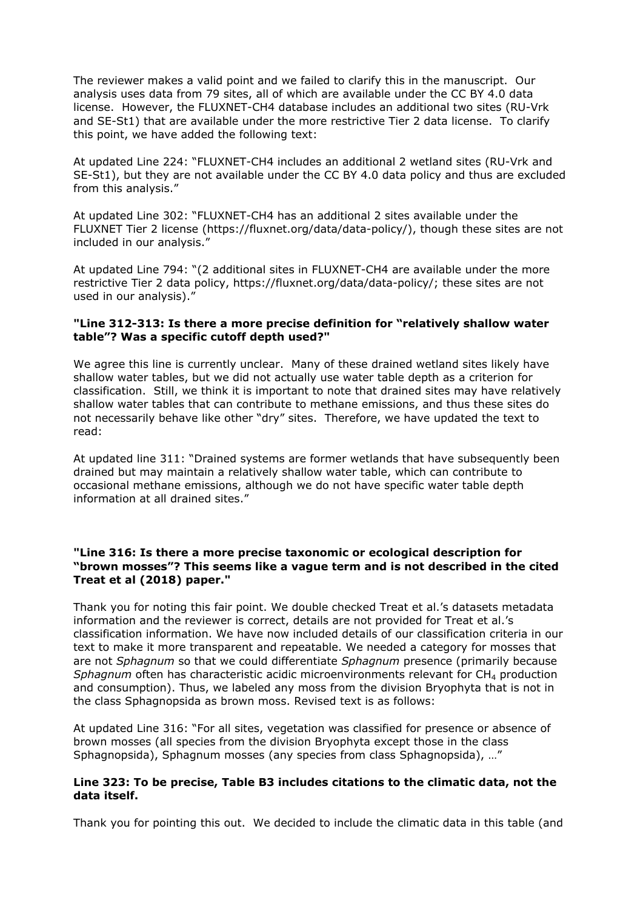The reviewer makes a valid point and we failed to clarify this in the manuscript. Our analysis uses data from 79 sites, all of which are available under the CC BY 4.0 data license. However, the FLUXNET-CH4 database includes an additional two sites (RU-Vrk and SE-St1) that are available under the more restrictive Tier 2 data license. To clarify this point, we have added the following text:

At updated Line 224: "FLUXNET-CH4 includes an additional 2 wetland sites (RU-Vrk and SE-St1), but they are not available under the CC BY 4.0 data policy and thus are excluded from this analysis."

At updated Line 302: "FLUXNET-CH4 has an additional 2 sites available under the FLUXNET Tier 2 license (https://fluxnet.org/data/data-policy/), though these sites are not included in our analysis."

At updated Line 794: "(2 additional sites in FLUXNET-CH4 are available under the more restrictive Tier 2 data policy, https://fluxnet.org/data/data-policy/; these sites are not used in our analysis)."

### **"Line 312-313: Is there a more precise definition for "relatively shallow water table"? Was a specific cutoff depth used?"**

We agree this line is currently unclear. Many of these drained wetland sites likely have shallow water tables, but we did not actually use water table depth as a criterion for classification. Still, we think it is important to note that drained sites may have relatively shallow water tables that can contribute to methane emissions, and thus these sites do not necessarily behave like other "dry" sites. Therefore, we have updated the text to read:

At updated line 311: "Drained systems are former wetlands that have subsequently been drained but may maintain a relatively shallow water table, which can contribute to occasional methane emissions, although we do not have specific water table depth information at all drained sites."

# **"Line 316: Is there a more precise taxonomic or ecological description for "brown mosses"? This seems like a vague term and is not described in the cited Treat et al (2018) paper."**

Thank you for noting this fair point. We double checked Treat et al.'s datasets metadata information and the reviewer is correct, details are not provided for Treat et al.'s classification information. We have now included details of our classification criteria in our text to make it more transparent and repeatable. We needed a category for mosses that are not *Sphagnum* so that we could differentiate *Sphagnum* presence (primarily because *Sphagnum* often has characteristic acidic microenvironments relevant for CH<sub>4</sub> production and consumption). Thus, we labeled any moss from the division Bryophyta that is not in the class Sphagnopsida as brown moss. Revised text is as follows:

At updated Line 316: "For all sites, vegetation was classified for presence or absence of brown mosses (all species from the division Bryophyta except those in the class Sphagnopsida), Sphagnum mosses (any species from class Sphagnopsida), …"

# **Line 323: To be precise, Table B3 includes citations to the climatic data, not the data itself.**

Thank you for pointing this out. We decided to include the climatic data in this table (and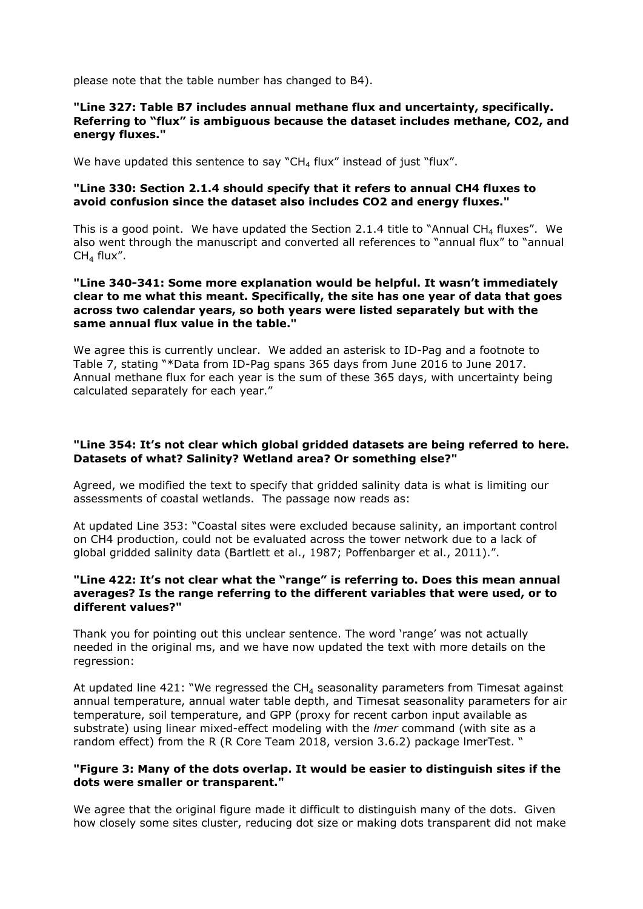please note that the table number has changed to B4).

## **"Line 327: Table B7 includes annual methane flux and uncertainty, specifically. Referring to "flux" is ambiguous because the dataset includes methane, CO2, and energy fluxes."**

We have updated this sentence to say "CH<sub>4</sub> flux" instead of just "flux".

### **"Line 330: Section 2.1.4 should specify that it refers to annual CH4 fluxes to avoid confusion since the dataset also includes CO2 and energy fluxes."**

This is a good point. We have updated the Section 2.1.4 title to "Annual CH<sub>4</sub> fluxes". We also went through the manuscript and converted all references to "annual flux" to "annual  $CH<sub>4</sub>$  flux".

# **"Line 340-341: Some more explanation would be helpful. It wasn't immediately clear to me what this meant. Specifically, the site has one year of data that goes across two calendar years, so both years were listed separately but with the same annual flux value in the table."**

We agree this is currently unclear. We added an asterisk to ID-Pag and a footnote to Table 7, stating "\*Data from ID-Pag spans 365 days from June 2016 to June 2017. Annual methane flux for each year is the sum of these 365 days, with uncertainty being calculated separately for each year."

# **"Line 354: It's not clear which global gridded datasets are being referred to here. Datasets of what? Salinity? Wetland area? Or something else?"**

Agreed, we modified the text to specify that gridded salinity data is what is limiting our assessments of coastal wetlands. The passage now reads as:

At updated Line 353: "Coastal sites were excluded because salinity, an important control on CH4 production, could not be evaluated across the tower network due to a lack of global gridded salinity data (Bartlett et al., 1987; Poffenbarger et al., 2011).".

## **"Line 422: It's not clear what the "range" is referring to. Does this mean annual averages? Is the range referring to the different variables that were used, or to different values?"**

Thank you for pointing out this unclear sentence. The word 'range' was not actually needed in the original ms, and we have now updated the text with more details on the regression:

At updated line 421: "We regressed the  $CH<sub>4</sub>$  seasonality parameters from Timesat against annual temperature, annual water table depth, and Timesat seasonality parameters for air temperature, soil temperature, and GPP (proxy for recent carbon input available as substrate) using linear mixed-effect modeling with the *lmer* command (with site as a random effect) from the R (R Core Team 2018, version 3.6.2) package lmerTest. "

### **"Figure 3: Many of the dots overlap. It would be easier to distinguish sites if the dots were smaller or transparent."**

We agree that the original figure made it difficult to distinguish many of the dots. Given how closely some sites cluster, reducing dot size or making dots transparent did not make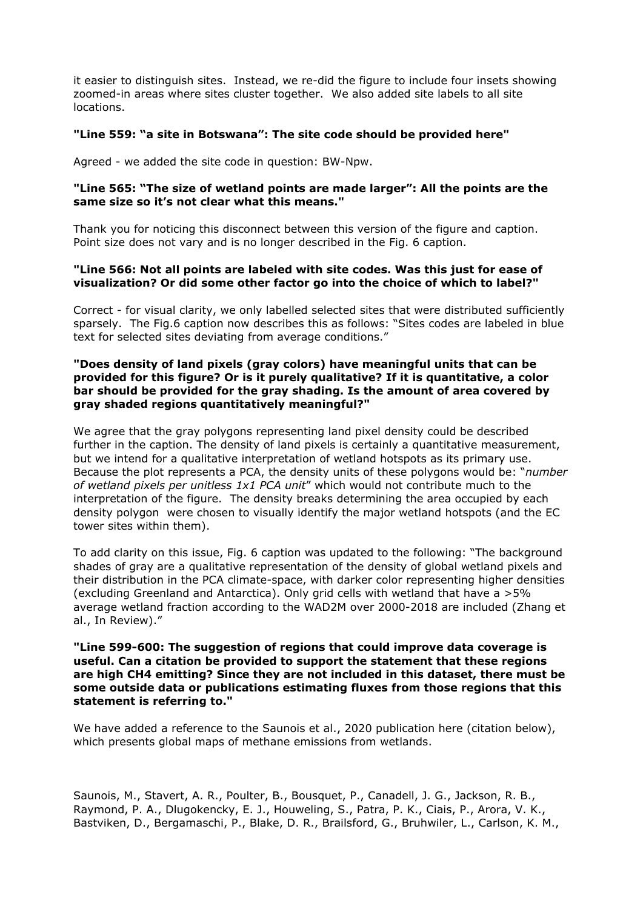it easier to distinguish sites. Instead, we re-did the figure to include four insets showing zoomed-in areas where sites cluster together. We also added site labels to all site locations.

# **"Line 559: "a site in Botswana": The site code should be provided here"**

Agreed - we added the site code in question: BW-Npw.

### **"Line 565: "The size of wetland points are made larger": All the points are the same size so it's not clear what this means."**

Thank you for noticing this disconnect between this version of the figure and caption. Point size does not vary and is no longer described in the Fig. 6 caption.

### **"Line 566: Not all points are labeled with site codes. Was this just for ease of visualization? Or did some other factor go into the choice of which to label?"**

Correct - for visual clarity, we only labelled selected sites that were distributed sufficiently sparsely. The Fig.6 caption now describes this as follows: "Sites codes are labeled in blue text for selected sites deviating from average conditions."

# **"Does density of land pixels (gray colors) have meaningful units that can be provided for this figure? Or is it purely qualitative? If it is quantitative, a color bar should be provided for the gray shading. Is the amount of area covered by gray shaded regions quantitatively meaningful?"**

We agree that the gray polygons representing land pixel density could be described further in the caption. The density of land pixels is certainly a quantitative measurement, but we intend for a qualitative interpretation of wetland hotspots as its primary use. Because the plot represents a PCA, the density units of these polygons would be: "*number of wetland pixels per unitless 1x1 PCA unit*" which would not contribute much to the interpretation of the figure. The density breaks determining the area occupied by each density polygon were chosen to visually identify the major wetland hotspots (and the EC tower sites within them).

To add clarity on this issue, Fig. 6 caption was updated to the following: "The background shades of gray are a qualitative representation of the density of global wetland pixels and their distribution in the PCA climate-space, with darker color representing higher densities (excluding Greenland and Antarctica). Only grid cells with wetland that have a >5% average wetland fraction according to the WAD2M over 2000-2018 are included (Zhang et al., In Review)."

### **"Line 599-600: The suggestion of regions that could improve data coverage is useful. Can a citation be provided to support the statement that these regions are high CH4 emitting? Since they are not included in this dataset, there must be some outside data or publications estimating fluxes from those regions that this statement is referring to."**

We have added a reference to the Saunois et al., 2020 publication here (citation below), which presents global maps of methane emissions from wetlands.

Saunois, M., Stavert, A. R., Poulter, B., Bousquet, P., Canadell, J. G., Jackson, R. B., Raymond, P. A., Dlugokencky, E. J., Houweling, S., Patra, P. K., Ciais, P., Arora, V. K., Bastviken, D., Bergamaschi, P., Blake, D. R., Brailsford, G., Bruhwiler, L., Carlson, K. M.,